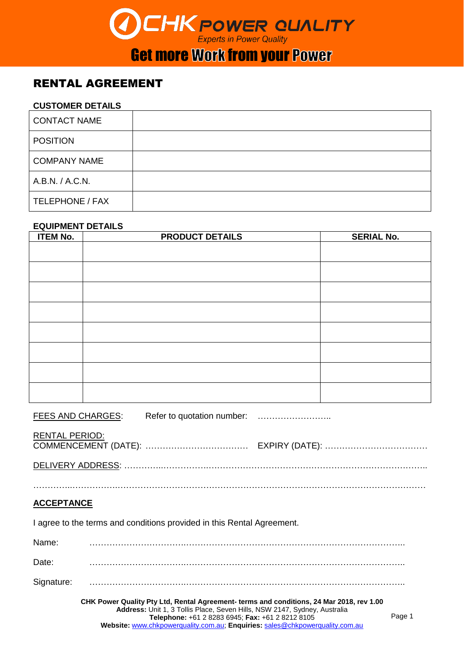# **CHK POWER QUALITY**

### **Get more Work from your Power**

#### RENTAL AGREEMENT

#### **CUSTOMER DETAILS**

| <b>CONTACT NAME</b> |  |
|---------------------|--|
| <b>POSITION</b>     |  |
| <b>COMPANY NAME</b> |  |
| A.B.N. / A.C.N.     |  |
| TELEPHONE / FAX     |  |

#### **EQUIPMENT DETAILS**

| <b>ITEM No.</b> | <b>PRODUCT DETAILS</b> | <b>SERIAL No.</b> |
|-----------------|------------------------|-------------------|
|                 |                        |                   |
|                 |                        |                   |
|                 |                        |                   |
|                 |                        |                   |
|                 |                        |                   |
|                 |                        |                   |
|                 |                        |                   |
|                 |                        |                   |

FEES AND CHARGES: Refer to quotation number: ...................................

| RENTAL PERIOD: |  |
|----------------|--|
|                |  |

…………..…………….………………………………………………………………………………………………

#### **ACCEPTANCE**

I agree to the terms and conditions provided in this Rental Agreement.

Name: …………………………….………………………………………………………………….. Date: …………………………….………………………………………………………………….. Signature: …………………………….…………………………………………………………………..

> **CHK Power Quality Pty Ltd, Rental Agreement- terms and conditions, 24 Mar 2018, rev 1.00 Address:** Unit 1, 3 Tollis Place, Seven Hills, NSW 2147, Sydney, Australia **Telephone:** +61 2 8283 6945; **Fax:** +61 2 8212 8105 **Website:** [www.chkpowerquality.com.au;](http://www.chkpowerquality.com.au/) **Enquiries:** [sales@chkpowerquality.com.au](mailto:sales@chkpowerquality.com.au)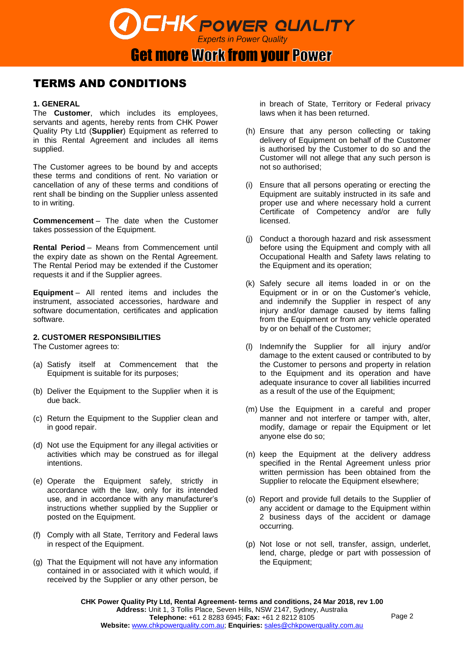**CHK POWER QUALITY Experts in Power Quality** 

#### TERMS AND CONDITIONS

#### **1. GENERAL**

The **Customer**, which includes its employees, servants and agents, hereby rents from CHK Power Quality Pty Ltd (**Supplier**) Equipment as referred to in this Rental Agreement and includes all items supplied.

The Customer agrees to be bound by and accepts these terms and conditions of rent. No variation or cancellation of any of these terms and conditions of rent shall be binding on the Supplier unless assented to in writing.

**Commencement** – The date when the Customer takes possession of the Equipment.

**Rental Period** – Means from Commencement until the expiry date as shown on the Rental Agreement. The Rental Period may be extended if the Customer requests it and if the Supplier agrees.

**Equipment** – All rented items and includes the instrument, associated accessories, hardware and software documentation, certificates and application software.

#### **2. CUSTOMER RESPONSIBILITIES**

The Customer agrees to:

- (a) Satisfy itself at Commencement that the Equipment is suitable for its purposes;
- (b) Deliver the Equipment to the Supplier when it is due back.
- (c) Return the Equipment to the Supplier clean and in good repair.
- (d) Not use the Equipment for any illegal activities or activities which may be construed as for illegal intentions.
- (e) Operate the Equipment safely, strictly in accordance with the law, only for its intended use, and in accordance with any manufacturer's instructions whether supplied by the Supplier or posted on the Equipment.
- (f) Comply with all State, Territory and Federal laws in respect of the Equipment.
- (g) That the Equipment will not have any information contained in or associated with it which would, if received by the Supplier or any other person, be

in breach of State, Territory or Federal privacy laws when it has been returned.

- (h) Ensure that any person collecting or taking delivery of Equipment on behalf of the Customer is authorised by the Customer to do so and the Customer will not allege that any such person is not so authorised;
- (i) Ensure that all persons operating or erecting the Equipment are suitably instructed in its safe and proper use and where necessary hold a current Certificate of Competency and/or are fully licensed.
- (j) Conduct a thorough hazard and risk assessment before using the Equipment and comply with all Occupational Health and Safety laws relating to the Equipment and its operation;
- (k) Safely secure all items loaded in or on the Equipment or in or on the Customer's vehicle, and indemnify the Supplier in respect of any injury and/or damage caused by items falling from the Equipment or from any vehicle operated by or on behalf of the Customer;
- (l) Indemnify the Supplier for all injury and/or damage to the extent caused or contributed to by the Customer to persons and property in relation to the Equipment and its operation and have adequate insurance to cover all liabilities incurred as a result of the use of the Equipment;
- (m) Use the Equipment in a careful and proper manner and not interfere or tamper with, alter, modify, damage or repair the Equipment or let anyone else do so;
- (n) keep the Equipment at the delivery address specified in the Rental Agreement unless prior written permission has been obtained from the Supplier to relocate the Equipment elsewhere;
- (o) Report and provide full details to the Supplier of any accident or damage to the Equipment within 2 business days of the accident or damage occurring.
- (p) Not lose or not sell, transfer, assign, underlet, lend, charge, pledge or part with possession of the Equipment;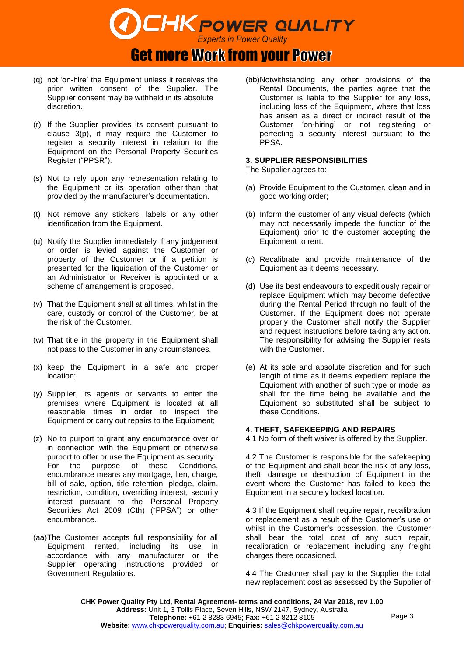

- (q) not 'on-hire' the Equipment unless it receives the prior written consent of the Supplier. The Supplier consent may be withheld in its absolute discretion.
- (r) If the Supplier provides its consent pursuant to clause 3(p), it may require the Customer to register a security interest in relation to the Equipment on the Personal Property Securities Register ("PPSR").
- (s) Not to rely upon any representation relating to the Equipment or its operation other than that provided by the manufacturer's documentation.
- (t) Not remove any stickers, labels or any other identification from the Equipment.
- (u) Notify the Supplier immediately if any judgement or order is levied against the Customer or property of the Customer or if a petition is presented for the liquidation of the Customer or an Administrator or Receiver is appointed or a scheme of arrangement is proposed.
- (v) That the Equipment shall at all times, whilst in the care, custody or control of the Customer, be at the risk of the Customer.
- (w) That title in the property in the Equipment shall not pass to the Customer in any circumstances.
- (x) keep the Equipment in a safe and proper location;
- (y) Supplier, its agents or servants to enter the premises where Equipment is located at all reasonable times in order to inspect the Equipment or carry out repairs to the Equipment;
- (z) No to purport to grant any encumbrance over or in connection with the Equipment or otherwise purport to offer or use the Equipment as security. For the purpose of these Conditions, encumbrance means any mortgage, lien, charge, bill of sale, option, title retention, pledge, claim, restriction, condition, overriding interest, security interest pursuant to the Personal Property Securities Act 2009 (Cth) ("PPSA") or other encumbrance.
- (aa)The Customer accepts full responsibility for all Equipment rented, including its use in accordance with any manufacturer or the Supplier operating instructions provided or Government Regulations.

(bb)Notwithstanding any other provisions of the Rental Documents, the parties agree that the Customer is liable to the Supplier for any loss, including loss of the Equipment, where that loss has arisen as a direct or indirect result of the Customer 'on-hiring' or not registering or perfecting a security interest pursuant to the PPSA.

#### **3. SUPPLIER RESPONSIBILITIES**

The Supplier agrees to:

- (a) Provide Equipment to the Customer, clean and in good working order;
- (b) Inform the customer of any visual defects (which may not necessarily impede the function of the Equipment) prior to the customer accepting the Equipment to rent.
- (c) Recalibrate and provide maintenance of the Equipment as it deems necessary.
- (d) Use its best endeavours to expeditiously repair or replace Equipment which may become defective during the Rental Period through no fault of the Customer. If the Equipment does not operate properly the Customer shall notify the Supplier and request instructions before taking any action. The responsibility for advising the Supplier rests with the Customer.
- (e) At its sole and absolute discretion and for such length of time as it deems expedient replace the Equipment with another of such type or model as shall for the time being be available and the Equipment so substituted shall be subject to these Conditions.

#### **4. THEFT, SAFEKEEPING AND REPAIRS**

4.1 No form of theft waiver is offered by the Supplier.

4.2 The Customer is responsible for the safekeeping of the Equipment and shall bear the risk of any loss, theft, damage or destruction of Equipment in the event where the Customer has failed to keep the Equipment in a securely locked location.

4.3 If the Equipment shall require repair, recalibration or replacement as a result of the Customer's use or whilst in the Customer's possession, the Customer shall bear the total cost of any such repair, recalibration or replacement including any freight charges there occasioned.

4.4 The Customer shall pay to the Supplier the total new replacement cost as assessed by the Supplier of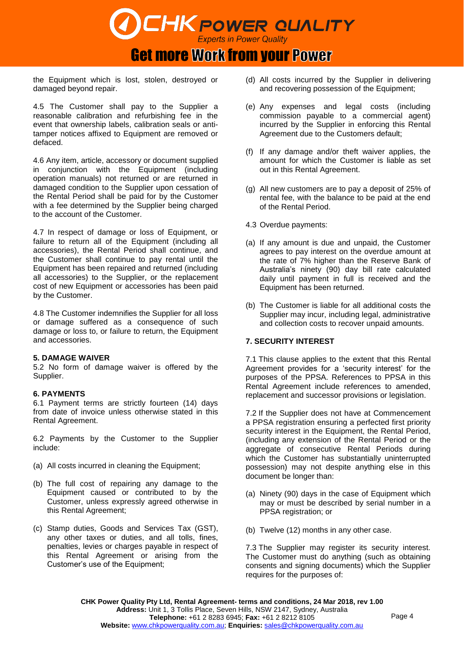## **CHK POWER QUALITY Get more Work from your Power**

the Equipment which is lost, stolen, destroyed or damaged beyond repair.

4.5 The Customer shall pay to the Supplier a reasonable calibration and refurbishing fee in the event that ownership labels, calibration seals or antitamper notices affixed to Equipment are removed or defaced.

4.6 Any item, article, accessory or document supplied in conjunction with the Equipment (including operation manuals) not returned or are returned in damaged condition to the Supplier upon cessation of the Rental Period shall be paid for by the Customer with a fee determined by the Supplier being charged to the account of the Customer.

4.7 In respect of damage or loss of Equipment, or failure to return all of the Equipment (including all accessories), the Rental Period shall continue, and the Customer shall continue to pay rental until the Equipment has been repaired and returned (including all accessories) to the Supplier, or the replacement cost of new Equipment or accessories has been paid by the Customer.

4.8 The Customer indemnifies the Supplier for all loss or damage suffered as a consequence of such damage or loss to, or failure to return, the Equipment and accessories.

#### **5. DAMAGE WAIVER**

5.2 No form of damage waiver is offered by the Supplier.

#### **6. PAYMENTS**

6.1 Payment terms are strictly fourteen (14) days from date of invoice unless otherwise stated in this Rental Agreement.

6.2 Payments by the Customer to the Supplier include:

- (a) All costs incurred in cleaning the Equipment;
- (b) The full cost of repairing any damage to the Equipment caused or contributed to by the Customer, unless expressly agreed otherwise in this Rental Agreement;
- (c) Stamp duties, Goods and Services Tax (GST), any other taxes or duties, and all tolls, fines, penalties, levies or charges payable in respect of this Rental Agreement or arising from the Customer's use of the Equipment;
- (d) All costs incurred by the Supplier in delivering and recovering possession of the Equipment;
- (e) Any expenses and legal costs (including commission payable to a commercial agent) incurred by the Supplier in enforcing this Rental Agreement due to the Customers default;
- (f) If any damage and/or theft waiver applies, the amount for which the Customer is liable as set out in this Rental Agreement.
- (g) All new customers are to pay a deposit of 25% of rental fee, with the balance to be paid at the end of the Rental Period.
- 4.3 Overdue payments:
- (a) If any amount is due and unpaid, the Customer agrees to pay interest on the overdue amount at the rate of 7% higher than the Reserve Bank of Australia's ninety (90) day bill rate calculated daily until payment in full is received and the Equipment has been returned.
- (b) The Customer is liable for all additional costs the Supplier may incur, including legal, administrative and collection costs to recover unpaid amounts.

#### **7. SECURITY INTEREST**

7.1 This clause applies to the extent that this Rental Agreement provides for a 'security interest' for the purposes of the PPSA. References to PPSA in this Rental Agreement include references to amended, replacement and successor provisions or legislation.

7.2 If the Supplier does not have at Commencement a PPSA registration ensuring a perfected first priority security interest in the Equipment, the Rental Period, (including any extension of the Rental Period or the aggregate of consecutive Rental Periods during which the Customer has substantially uninterrupted possession) may not despite anything else in this document be longer than:

- (a) Ninety (90) days in the case of Equipment which may or must be described by serial number in a PPSA registration; or
- (b) Twelve (12) months in any other case.

7.3 The Supplier may register its security interest. The Customer must do anything (such as obtaining consents and signing documents) which the Supplier requires for the purposes of: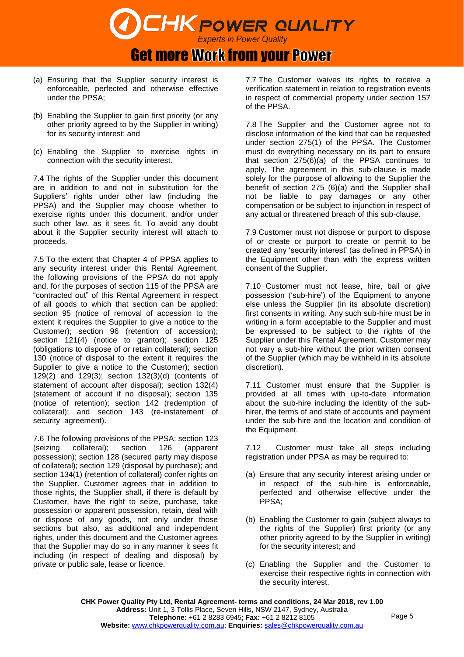

- (a) Ensuring that the Supplier security interest is enforceable, perfected and otherwise effective under the PPSA;
- (b) Enabling the Supplier to gain first priority (or any other priority agreed to by the Supplier in writing) for its security interest; and
- (c) Enabling the Supplier to exercise rights in connection with the security interest.

7.4 The rights of the Supplier under this document are in addition to and not in substitution for the Suppliers' rights under other law (including the PPSA) and the Supplier may choose whether to exercise rights under this document, and/or under such other law, as it sees fit. To avoid any doubt about it the Supplier security interest will attach to proceeds.

7.5 To the extent that Chapter 4 of PPSA applies to any security interest under this Rental Agreement, the following provisions of the PPSA do not apply and, for the purposes of section 115 of the PPSA are "contracted out" of this Rental Agreement in respect of all goods to which that section can be applied: section 95 (notice of removal of accession to the extent it requires the Supplier to give a notice to the Customer); section 96 (retention of accession); section 121(4) (notice to grantor); section 125 (obligations to dispose of or retain collateral); section 130 (notice of disposal to the extent it requires the Supplier to give a notice to the Customer); section 129(2) and 129(3); section 132(3)(d) (contents of statement of account after disposal); section 132(4) (statement of account if no disposal); section 135 (notice of retention); section 142 (redemption of collateral); and section 143 (re-instatement of security agreement).

7.6 The following provisions of the PPSA: section 123 (seizing collateral); section 126 (apparent possession); section 128 (secured party may dispose of collateral); section 129 (disposal by purchase); and section 134(1) (retention of collateral) confer rights on the Supplier. Customer agrees that in addition to those rights, the Supplier shall, if there is default by Customer, have the right to seize, purchase, take possession or apparent possession, retain, deal with or dispose of any goods, not only under those sections but also, as additional and independent rights, under this document and the Customer agrees that the Supplier may do so in any manner it sees fit including (in respect of dealing and disposal) by private or public sale, lease or licence.

7.7 The Customer waives its rights to receive a verification statement in relation to registration events in respect of commercial property under section 157 of the PPSA.

7.8 The Supplier and the Customer agree not to disclose information of the kind that can be requested under section 275(1) of the PPSA. The Customer must do everything necessary on its part to ensure that section 275(6)(a) of the PPSA continues to apply. The agreement in this sub-clause is made solely for the purpose of allowing to the Supplier the benefit of section 275 (6)(a) and the Supplier shall not be liable to pay damages or any other compensation or be subject to injunction in respect of any actual or threatened breach of this sub-clause.

7.9 Customer must not dispose or purport to dispose of or create or purport to create or permit to be created any 'security interest' (as defined in PPSA) in the Equipment other than with the express written consent of the Supplier.

7.10 Customer must not lease, hire, bail or give possession ('sub-hire') of the Equipment to anyone else unless the Supplier (in its absolute discretion) first consents in writing. Any such sub-hire must be in writing in a form acceptable to the Supplier and must be expressed to be subject to the rights of the Supplier under this Rental Agreement. Customer may not vary a sub-hire without the prior written consent of the Supplier (which may be withheld in its absolute discretion).

7.11 Customer must ensure that the Supplier is provided at all times with up-to-date information about the sub-hire including the identity of the subhirer, the terms of and state of accounts and payment under the sub-hire and the location and condition of the Equipment.

7.12 Customer must take all steps including registration under PPSA as may be required to:

- (a) Ensure that any security interest arising under or in respect of the sub-hire is enforceable, perfected and otherwise effective under the PPSA;
- (b) Enabling the Customer to gain (subject always to the rights of the Supplier) first priority (or any other priority agreed to by the Supplier in writing) for the security interest; and
- (c) Enabling the Supplier and the Customer to exercise their respective rights in connection with the security interest.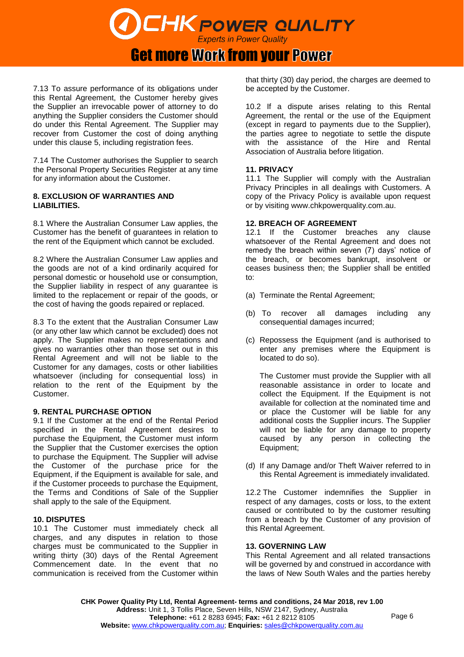**CHK POWER QUALITY** 

### **Get more Work from your Power**

7.13 To assure performance of its obligations under this Rental Agreement, the Customer hereby gives the Supplier an irrevocable power of attorney to do anything the Supplier considers the Customer should do under this Rental Agreement. The Supplier may recover from Customer the cost of doing anything under this clause 5, including registration fees.

7.14 The Customer authorises the Supplier to search the Personal Property Securities Register at any time for any information about the Customer.

#### **8. EXCLUSION OF WARRANTIES AND LIABILITIES.**

8.1 Where the Australian Consumer Law applies, the Customer has the benefit of guarantees in relation to the rent of the Equipment which cannot be excluded.

8.2 Where the Australian Consumer Law applies and the goods are not of a kind ordinarily acquired for personal domestic or household use or consumption, the Supplier liability in respect of any guarantee is limited to the replacement or repair of the goods, or the cost of having the goods repaired or replaced.

8.3 To the extent that the Australian Consumer Law (or any other law which cannot be excluded) does not apply. The Supplier makes no representations and gives no warranties other than those set out in this Rental Agreement and will not be liable to the Customer for any damages, costs or other liabilities whatsoever (including for consequential loss) in relation to the rent of the Equipment by the Customer.

#### **9. RENTAL PURCHASE OPTION**

9.1 If the Customer at the end of the Rental Period specified in the Rental Agreement desires to purchase the Equipment, the Customer must inform the Supplier that the Customer exercises the option to purchase the Equipment. The Supplier will advise the Customer of the purchase price for the Equipment, if the Equipment is available for sale, and if the Customer proceeds to purchase the Equipment, the Terms and Conditions of Sale of the Supplier shall apply to the sale of the Equipment.

#### **10. DISPUTES**

10.1 The Customer must immediately check all charges, and any disputes in relation to those charges must be communicated to the Supplier in writing thirty (30) days of the Rental Agreement Commencement date. In the event that no communication is received from the Customer within that thirty (30) day period, the charges are deemed to be accepted by the Customer.

10.2 If a dispute arises relating to this Rental Agreement, the rental or the use of the Equipment (except in regard to payments due to the Supplier), the parties agree to negotiate to settle the dispute with the assistance of the Hire and Rental Association of Australia before litigation.

#### **11. PRIVACY**

11.1 The Supplier will comply with the Australian Privacy Principles in all dealings with Customers. A copy of the Privacy Policy is available upon request or by visiting [www.chkpowerquality.com.au.](http://www.chkpowerquality.com.au/)

#### **12. BREACH OF AGREEMENT**

12.1 If the Customer breaches any clause whatsoever of the Rental Agreement and does not remedy the breach within seven (7) days' notice of the breach, or becomes bankrupt, insolvent or ceases business then; the Supplier shall be entitled to:

- (a) Terminate the Rental Agreement;
- (b) To recover all damages including any consequential damages incurred;
- (c) Repossess the Equipment (and is authorised to enter any premises where the Equipment is located to do so).

The Customer must provide the Supplier with all reasonable assistance in order to locate and collect the Equipment. If the Equipment is not available for collection at the nominated time and or place the Customer will be liable for any additional costs the Supplier incurs. The Supplier will not be liable for any damage to property caused by any person in collecting the Equipment;

(d) If any Damage and/or Theft Waiver referred to in this Rental Agreement is immediately invalidated.

12.2 The Customer indemnifies the Supplier in respect of any damages, costs or loss, to the extent caused or contributed to by the customer resulting from a breach by the Customer of any provision of this Rental Agreement.

#### **13. GOVERNING LAW**

This Rental Agreement and all related transactions will be governed by and construed in accordance with the laws of New South Wales and the parties hereby